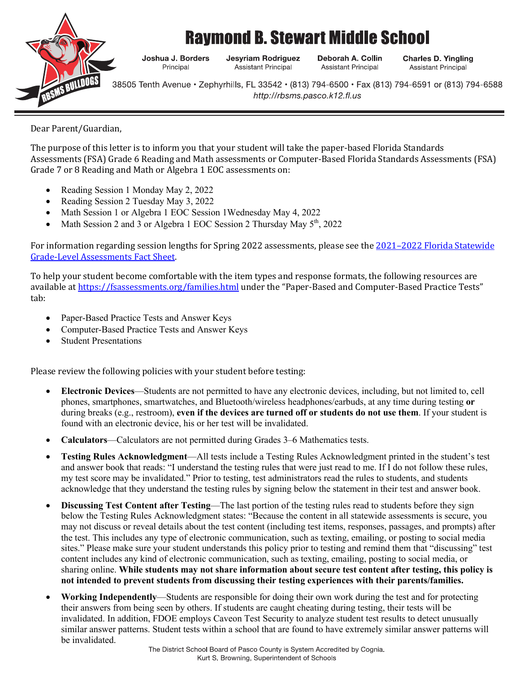

## **Raymond B. Stewart Middle School**

Joshua J. Borders Principal

**Jesyriam Rodriguez Assistant Principal** 

Deborah A. Collin **Assistant Principal** 

**Charles D. Yingling Assistant Principal** 

38505 Tenth Avenue • Zephyrhills, FL 33542 • (813) 794-6500 • Fax (813) 794-6591 or (813) 794-6588 http://rbsms.pasco.k12.fl.us

Dear Parent/Guardian,

The purpose of this letter is to inform you that your student will take the paper-based Florida Standards Assessments (FSA) Grade 6 Reading and Math assessments or Computer-Based Florida Standards Assessments (FSA) Grade 7 or 8 Reading and Math or Algebra 1 EOC assessments on:

- Reading Session 1 Monday May 2, 2022
- Reading Session 2 Tuesday May 3, 2022
- Math Session 1 or Algebra 1 EOC Session 1Wednesday May 4, 2022
- Math Session 2 and 3 or Algebra 1 EOC Session 2 Thursday May  $5<sup>th</sup>$ , 2022

For information regarding session lengths for Spring 2022 assessments, please see the 2021–2022 Florida Statewide **Grade-Level Assessments Fact Sheet.** 

To help your student become comfortable with the item types and response formats, the following resources are available at https://fsassessments.org/families.html under the "Paper-Based and Computer-Based Practice Tests" tab:

- Paper-Based Practice Tests and Answer Keys
- Computer-Based Practice Tests and Answer Keys
- **Student Presentations**

Please review the following policies with your student before testing:

- **Electronic Devices**—Students are not permitted to have any electronic devices, including, but not limited to, cell phones, smartphones, smartwatches, and Bluetooth/wireless headphones/earbuds, at any time during testing **or** during breaks (e.g., restroom), **even if the devices are turned off or students do not use them**. If your student is found with an electronic device, his or her test will be invalidated.
- **Calculators**—Calculators are not permitted during Grades 3–6 Mathematics tests.
- **Testing Rules Acknowledgment**—All tests include a Testing Rules Acknowledgment printed in the student's test and answer book that reads: "I understand the testing rules that were just read to me. If I do not follow these rules, my test score may be invalidated." Prior to testing, test administrators read the rules to students, and students acknowledge that they understand the testing rules by signing below the statement in their test and answer book.
- **Discussing Test Content after Testing—The last portion of the testing rules read to students before they sign** below the Testing Rules Acknowledgment states: "Because the content in all statewide assessments is secure, you may not discuss or reveal details about the test content (including test items, responses, passages, and prompts) after the test. This includes any type of electronic communication, such as texting, emailing, or posting to social media sites." Please make sure your student understands this policy prior to testing and remind them that "discussing" test content includes any kind of electronic communication, such as texting, emailing, posting to social media, or sharing online. **While students may not share information about secure test content after testing, this policy is not intended to prevent students from discussing their testing experiences with their parents/families.**
- **Working Independently**—Students are responsible for doing their own work during the test and for protecting their answers from being seen by others. If students are caught cheating during testing, their tests will be invalidated. In addition, FDOE employs Caveon Test Security to analyze student test results to detect unusually similar answer patterns. Student tests within a school that are found to have extremely similar answer patterns will be invalidated.